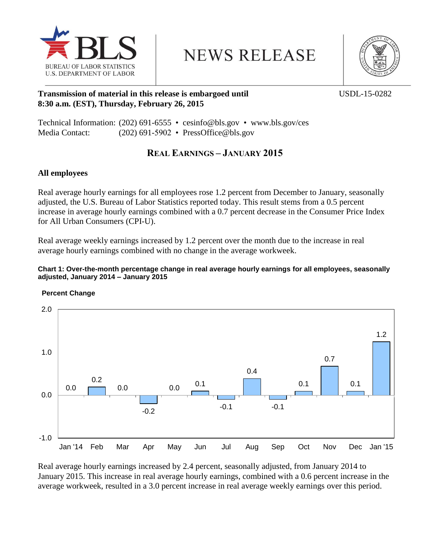

**NEWS RELEASE** 



## **Transmission of material in this release is embargoed until USDL-15-0282 8:30 a.m. (EST), Thursday, February 26, 2015**

Technical Information: (202) 691-6555 • cesinfo@bls.gov • www.bls.gov/ces Media Contact: (202) 691-5902 • [PressOffice@bls.gov](mailto:PressOffice@bls.gov)

# **REAL EARNINGS – JANUARY 2015**

## **All employees**

Real average hourly earnings for all employees rose 1.2 percent from December to January, seasonally adjusted, the U.S. Bureau of Labor Statistics reported today. This result stems from a 0.5 percent increase in average hourly earnings combined with a 0.7 percent decrease in the Consumer Price Index for All Urban Consumers (CPI-U).

Real average weekly earnings increased by 1.2 percent over the month due to the increase in real average hourly earnings combined with no change in the average workweek.

### **Chart 1: Over-the-month percentage change in real average hourly earnings for all employees, seasonally adjusted, January 2014 – January 2015**



 **Percent Change**

Real average hourly earnings increased by 2.4 percent, seasonally adjusted, from January 2014 to January 2015. This increase in real average hourly earnings, combined with a 0.6 percent increase in the average workweek, resulted in a 3.0 percent increase in real average weekly earnings over this period.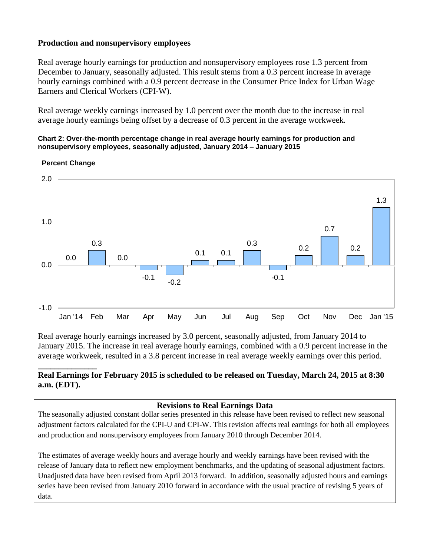## **Production and nonsupervisory employees**

Real average hourly earnings for production and nonsupervisory employees rose 1.3 percent from December to January, seasonally adjusted. This result stems from a 0.3 percent increase in average hourly earnings combined with a 0.9 percent decrease in the Consumer Price Index for Urban Wage Earners and Clerical Workers (CPI-W).

Real average weekly earnings increased by 1.0 percent over the month due to the increase in real average hourly earnings being offset by a decrease of 0.3 percent in the average workweek.

#### **Chart 2: Over-the-month percentage change in real average hourly earnings for production and nonsupervisory employees, seasonally adjusted, January 2014 – January 2015**



#### **Percent Change**

**\_\_\_\_\_\_\_\_\_\_\_\_\_\_**

Real average hourly earnings increased by 3.0 percent, seasonally adjusted, from January 2014 to January 2015. The increase in real average hourly earnings, combined with a 0.9 percent increase in the average workweek, resulted in a 3.8 percent increase in real average weekly earnings over this period.

## **Real Earnings for February 2015 is scheduled to be released on Tuesday, March 24, 2015 at 8:30 a.m. (EDT).**

### **Revisions to Real Earnings Data**

The seasonally adjusted constant dollar series presented in this release have been revised to reflect new seasonal adjustment factors calculated for the CPI-U and CPI-W. This revision affects real earnings for both all employees and production and nonsupervisory employees from January 2010 through December 2014.

The estimates of average weekly hours and average hourly and weekly earnings have been revised with the release of January data to reflect new employment benchmarks, and the updating of seasonal adjustment factors. Unadjusted data have been revised from April 2013 forward. In addition, seasonally adjusted hours and earnings series have been revised from January 2010 forward in accordance with the usual practice of revising 5 years of data.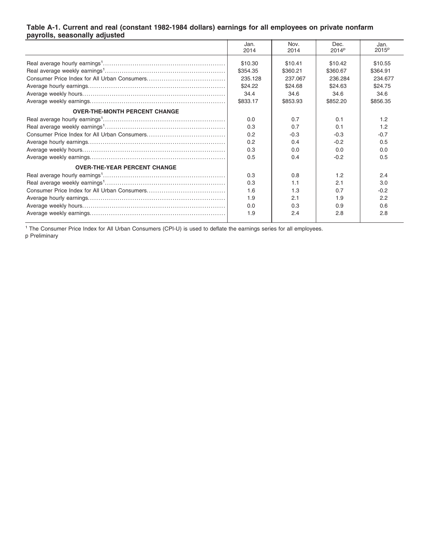#### **Table A-1. Current and real (constant 1982-1984 dollars) earnings for all employees on private nonfarm payrolls, seasonally adjusted**

|                                      | Jan.<br>2014                              | Nov.<br>2014                              | Dec.<br>2014 <sup>p</sup>                 | Jan.<br>2015 <sup>p</sup>                 |
|--------------------------------------|-------------------------------------------|-------------------------------------------|-------------------------------------------|-------------------------------------------|
|                                      | \$10.30<br>\$354.35<br>235.128<br>\$24.22 | \$10.41<br>\$360.21<br>237.067<br>\$24.68 | \$10.42<br>\$360.67<br>236,284<br>\$24.63 | \$10.55<br>\$364.91<br>234.677<br>\$24.75 |
|                                      | 34.4<br>\$833.17                          | 34.6<br>\$853.93                          | 34.6<br>\$852.20                          | 34.6<br>\$856.35                          |
| <b>OVER-THE-MONTH PERCENT CHANGE</b> |                                           |                                           |                                           |                                           |
|                                      | 0.0                                       | 0.7                                       | 0.1                                       | 1.2                                       |
|                                      | 0.3                                       | 0.7                                       | 0.1                                       | 1.2                                       |
|                                      | 0.2                                       | $-0.3$                                    | $-0.3$                                    | $-0.7$                                    |
|                                      | 0.2                                       | 0.4                                       | $-0.2$                                    | 0.5                                       |
|                                      | 0.3                                       | 0.0                                       | 0.0                                       | 0.0                                       |
|                                      | 0.5                                       | 0.4                                       | $-0.2$                                    | 0.5                                       |
| <b>OVER-THE-YEAR PERCENT CHANGE</b>  |                                           |                                           |                                           |                                           |
|                                      | 0.3                                       | 0.8                                       | 1.2                                       | 2.4                                       |
|                                      | 0.3                                       | 1.1                                       | 2.1                                       | 3.0                                       |
|                                      | 1.6                                       | 1.3                                       | 0.7                                       | $-0.2$                                    |
|                                      | 1.9                                       | 2.1                                       | 1.9                                       | 2.2                                       |
|                                      | 0.0                                       | 0.3                                       | 0.9                                       | 0.6                                       |
|                                      | 1.9                                       | 2.4                                       | 2.8                                       | 2.8                                       |

<sup>1</sup> The Consumer Price Index for All Urban Consumers (CPI-U) is used to deflate the earnings series for all employees. p Preliminary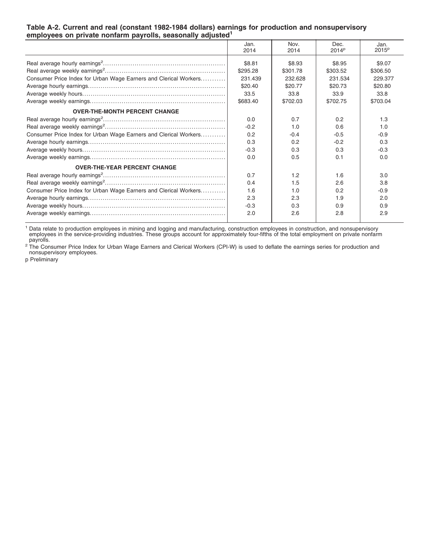| completed on private nomanni payrond, deadonany aujudicu         |              |              |                           |                           |
|------------------------------------------------------------------|--------------|--------------|---------------------------|---------------------------|
|                                                                  | Jan.<br>2014 | Nov.<br>2014 | Dec.<br>2014 <sup>p</sup> | Jan.<br>2015 <sup>p</sup> |
|                                                                  | \$8.81       | \$8.93       | \$8.95                    | \$9.07                    |
|                                                                  | \$295.28     | \$301.78     | \$303.52                  | \$306.50                  |
| Consumer Price Index for Urban Wage Earners and Clerical Workers | 231.439      | 232.628      | 231.534                   | 229.377                   |
|                                                                  | \$20.40      | \$20.77      | \$20.73                   | \$20.80                   |
|                                                                  | 33.5         | 33.8         | 33.9                      | 33.8                      |
|                                                                  | \$683.40     | \$702.03     | \$702.75                  | \$703.04                  |
| <b>OVER-THE-MONTH PERCENT CHANGE</b>                             |              |              |                           |                           |
|                                                                  | 0.0          | 0.7          | 0.2                       | 1.3                       |
|                                                                  | $-0.2$       | 1.0          | 0.6                       | 1.0                       |
| Consumer Price Index for Urban Wage Earners and Clerical Workers | 0.2          | $-0.4$       | $-0.5$                    | $-0.9$                    |
|                                                                  | 0.3          | 0.2          | $-0.2$                    | 0.3                       |
|                                                                  | $-0.3$       | 0.3          | 0.3                       | $-0.3$                    |
|                                                                  | 0.0          | 0.5          | 0.1                       | 0.0                       |
| <b>OVER-THE-YEAR PERCENT CHANGE</b>                              |              |              |                           |                           |
|                                                                  | 0.7          | 1.2          | 1.6                       | 3.0                       |
|                                                                  | 0.4          | 1.5          | 2.6                       | 3.8                       |
| Consumer Price Index for Urban Wage Earners and Clerical Workers | 1.6          | 1.0          | 0.2                       | $-0.9$                    |
|                                                                  | 2.3          | 2.3          | 1.9                       | 2.0                       |
|                                                                  | $-0.3$       | 0.3          | 0.9                       | 0.9                       |
|                                                                  | 2.0          | 2.6          | 2.8                       | 2.9                       |

#### **Table A-2. Current and real (constant 1982-1984 dollars) earnings for production and nonsupervisory employees on private nonfarm payrolls, seasonally adjusted<sup>1</sup>**

<sup>1</sup> Data relate to production employees in mining and logging and manufacturing, construction employees in construction, and nonsupervisory<br>employees in the service-providing industries. These groups account for approximat

<sup>2</sup> The Consumer Price Index for Urban Wage Earners and Clerical Workers (CPI-W) is used to deflate the earnings series for production and<br>nonsupervisory employees.

p Preliminary